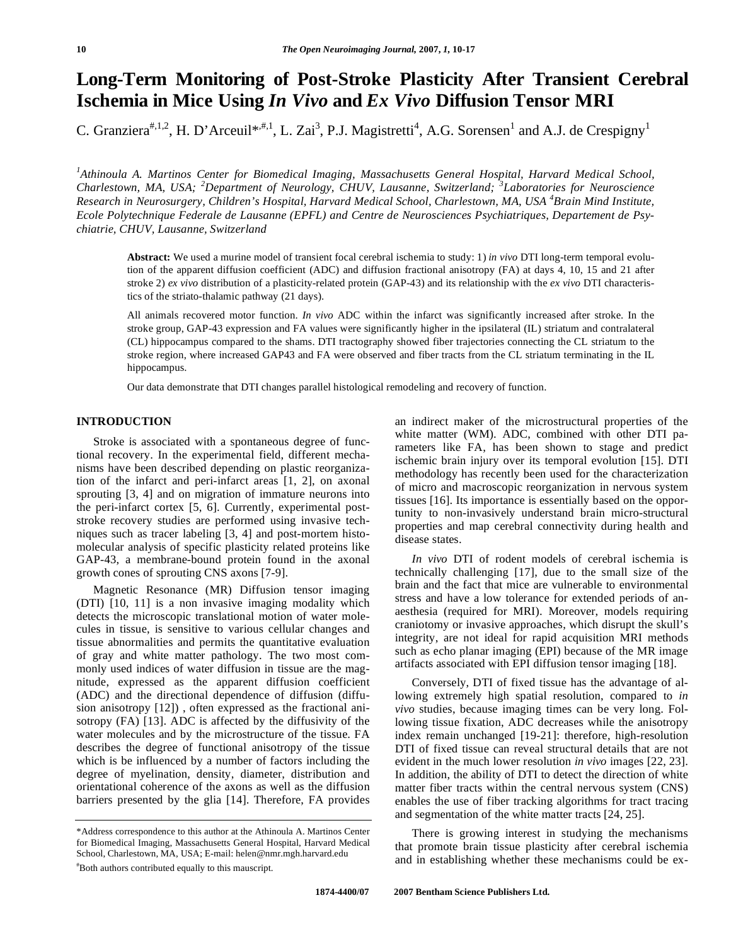# **Long-Term Monitoring of Post-Stroke Plasticity After Transient Cerebral Ischemia in Mice Using** *In Vivo* **and** *Ex Vivo* **Diffusion Tensor MRI**

C. Granziera<sup>#,1,2</sup>, H. D'Arceuil<sup>\*,#,1</sup>, L. Zai<sup>3</sup>, P.J. Magistretti<sup>4</sup>, A.G. Sorensen<sup>1</sup> and A.J. de Crespigny<sup>1</sup>

*1 Athinoula A. Martinos Center for Biomedical Imaging, Massachusetts General Hospital, Harvard Medical School, Charlestown, MA, USA; <sup>2</sup> Department of Neurology, CHUV, Lausanne, Switzerland; <sup>3</sup> Laboratories for Neuroscience Research in Neurosurgery, Children's Hospital, Harvard Medical School, Charlestown, MA, USA <sup>4</sup> Brain Mind Institute, Ecole Polytechnique Federale de Lausanne (EPFL) and Centre de Neurosciences Psychiatriques, Departement de Psychiatrie, CHUV, Lausanne, Switzerland* 

**Abstract:** We used a murine model of transient focal cerebral ischemia to study: 1) *in vivo* DTI long-term temporal evolution of the apparent diffusion coefficient (ADC) and diffusion fractional anisotropy (FA) at days 4, 10, 15 and 21 after stroke 2) *ex vivo* distribution of a plasticity-related protein (GAP-43) and its relationship with the *ex vivo* DTI characteristics of the striato-thalamic pathway (21 days).

All animals recovered motor function. *In vivo* ADC within the infarct was significantly increased after stroke. In the stroke group, GAP-43 expression and FA values were significantly higher in the ipsilateral (IL) striatum and contralateral (CL) hippocampus compared to the shams. DTI tractography showed fiber trajectories connecting the CL striatum to the stroke region, where increased GAP43 and FA were observed and fiber tracts from the CL striatum terminating in the IL hippocampus.

Our data demonstrate that DTI changes parallel histological remodeling and recovery of function.

# **INTRODUCTION**

 Stroke is associated with a spontaneous degree of functional recovery. In the experimental field, different mechanisms have been described depending on plastic reorganization of the infarct and peri-infarct areas [1, 2], on axonal sprouting [3, 4] and on migration of immature neurons into the peri-infarct cortex [5, 6]. Currently, experimental poststroke recovery studies are performed using invasive techniques such as tracer labeling [3, 4] and post-mortem histomolecular analysis of specific plasticity related proteins like GAP-43, a membrane-bound protein found in the axonal growth cones of sprouting CNS axons [7-9].

 Magnetic Resonance (MR) Diffusion tensor imaging (DTI) [10, 11] is a non invasive imaging modality which detects the microscopic translational motion of water molecules in tissue, is sensitive to various cellular changes and tissue abnormalities and permits the quantitative evaluation of gray and white matter pathology. The two most commonly used indices of water diffusion in tissue are the magnitude, expressed as the apparent diffusion coefficient (ADC) and the directional dependence of diffusion (diffusion anisotropy [12]) , often expressed as the fractional anisotropy (FA) [13]. ADC is affected by the diffusivity of the water molecules and by the microstructure of the tissue. FA describes the degree of functional anisotropy of the tissue which is be influenced by a number of factors including the degree of myelination, density, diameter, distribution and orientational coherence of the axons as well as the diffusion barriers presented by the glia [14]. Therefore, FA provides an indirect maker of the microstructural properties of the white matter (WM). ADC, combined with other DTI parameters like FA, has been shown to stage and predict ischemic brain injury over its temporal evolution [15]. DTI methodology has recently been used for the characterization of micro and macroscopic reorganization in nervous system tissues [16]. Its importance is essentially based on the opportunity to non-invasively understand brain micro-structural properties and map cerebral connectivity during health and disease states.

 *In vivo* DTI of rodent models of cerebral ischemia is technically challenging [17], due to the small size of the brain and the fact that mice are vulnerable to environmental stress and have a low tolerance for extended periods of anaesthesia (required for MRI). Moreover, models requiring craniotomy or invasive approaches, which disrupt the skull's integrity, are not ideal for rapid acquisition MRI methods such as echo planar imaging (EPI) because of the MR image artifacts associated with EPI diffusion tensor imaging [18].

 Conversely, DTI of fixed tissue has the advantage of allowing extremely high spatial resolution, compared to *in vivo* studies, because imaging times can be very long. Following tissue fixation, ADC decreases while the anisotropy index remain unchanged [19-21]: therefore, high-resolution DTI of fixed tissue can reveal structural details that are not evident in the much lower resolution *in vivo* images [22, 23]. In addition, the ability of DTI to detect the direction of white matter fiber tracts within the central nervous system (CNS) enables the use of fiber tracking algorithms for tract tracing and segmentation of the white matter tracts [24, 25].

 There is growing interest in studying the mechanisms that promote brain tissue plasticity after cerebral ischemia and in establishing whether these mechanisms could be ex-

<sup>\*</sup>Address correspondence to this author at the Athinoula A. Martinos Center for Biomedical Imaging, Massachusetts General Hospital, Harvard Medical School, Charlestown, MA, USA; E-mail: helen@nmr.mgh.harvard.edu # Both authors contributed equally to this mauscript.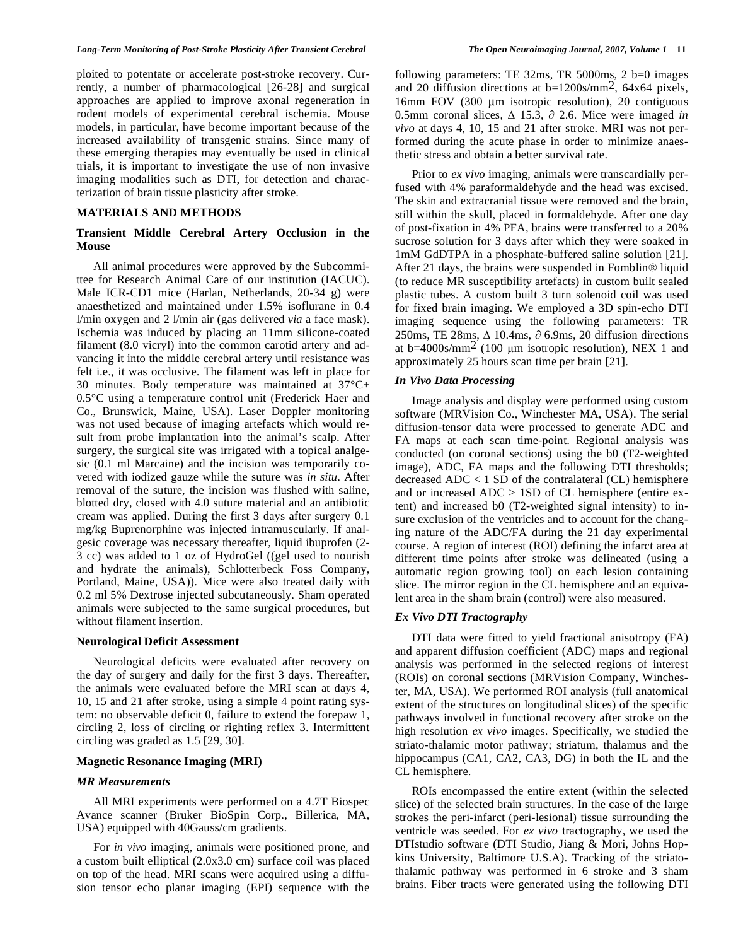#### *Long-Term Monitoring of Post-Stroke Plasticity After Transient Cerebral The Open Neuroimaging Journal, 2007, Volume 1* **11**

ploited to potentate or accelerate post-stroke recovery. Currently, a number of pharmacological [26-28] and surgical approaches are applied to improve axonal regeneration in rodent models of experimental cerebral ischemia. Mouse models, in particular, have become important because of the increased availability of transgenic strains. Since many of these emerging therapies may eventually be used in clinical trials, it is important to investigate the use of non invasive imaging modalities such as DTI, for detection and characterization of brain tissue plasticity after stroke.

## **MATERIALS AND METHODS**

# **Transient Middle Cerebral Artery Occlusion in the Mouse**

 All animal procedures were approved by the Subcommittee for Research Animal Care of our institution (IACUC). Male ICR-CD1 mice (Harlan, Netherlands, 20-34 g) were anaesthetized and maintained under 1.5% isoflurane in 0.4 l/min oxygen and 2 l/min air (gas delivered *via* a face mask). Ischemia was induced by placing an 11mm silicone-coated filament (8.0 vicryl) into the common carotid artery and advancing it into the middle cerebral artery until resistance was felt i.e., it was occlusive. The filament was left in place for 30 minutes. Body temperature was maintained at  $37^{\circ}$ C $\pm$ 0.5°C using a temperature control unit (Frederick Haer and Co., Brunswick, Maine, USA). Laser Doppler monitoring was not used because of imaging artefacts which would result from probe implantation into the animal's scalp. After surgery, the surgical site was irrigated with a topical analgesic (0.1 ml Marcaine) and the incision was temporarily covered with iodized gauze while the suture was *in situ*. After removal of the suture, the incision was flushed with saline, blotted dry, closed with 4.0 suture material and an antibiotic cream was applied. During the first 3 days after surgery 0.1 mg/kg Buprenorphine was injected intramuscularly. If analgesic coverage was necessary thereafter, liquid ibuprofen (2- 3 cc) was added to 1 oz of HydroGel ((gel used to nourish and hydrate the animals), Schlotterbeck Foss Company, Portland, Maine, USA)). Mice were also treated daily with 0.2 ml 5% Dextrose injected subcutaneously. Sham operated animals were subjected to the same surgical procedures, but without filament insertion.

### **Neurological Deficit Assessment**

 Neurological deficits were evaluated after recovery on the day of surgery and daily for the first 3 days. Thereafter, the animals were evaluated before the MRI scan at days 4, 10, 15 and 21 after stroke, using a simple 4 point rating system: no observable deficit 0, failure to extend the forepaw 1, circling 2, loss of circling or righting reflex 3. Intermittent circling was graded as 1.5 [29, 30].

## **Magnetic Resonance Imaging (MRI)**

## *MR Measurements*

 All MRI experiments were performed on a 4.7T Biospec Avance scanner (Bruker BioSpin Corp., Billerica, MA, USA) equipped with 40Gauss/cm gradients.

 For *in vivo* imaging, animals were positioned prone, and a custom built elliptical (2.0x3.0 cm) surface coil was placed on top of the head. MRI scans were acquired using a diffusion tensor echo planar imaging (EPI) sequence with the following parameters: TE 32ms, TR 5000ms, 2 b=0 images and 20 diffusion directions at b=1200s/mm2, 64x64 pixels, 16mm FOV (300 μm isotropic resolution), 20 contiguous 0.5mm coronal slices,  $\Delta$  15.3,  $\partial$  2.6. Mice were imaged *in vivo* at days 4, 10, 15 and 21 after stroke. MRI was not performed during the acute phase in order to minimize anaesthetic stress and obtain a better survival rate.

 Prior to *ex vivo* imaging, animals were transcardially perfused with 4% paraformaldehyde and the head was excised. The skin and extracranial tissue were removed and the brain, still within the skull, placed in formaldehyde. After one day of post-fixation in 4% PFA, brains were transferred to a 20% sucrose solution for 3 days after which they were soaked in 1mM GdDTPA in a phosphate-buffered saline solution [21]. After 21 days, the brains were suspended in Fomblin® liquid (to reduce MR susceptibility artefacts) in custom built sealed plastic tubes. A custom built 3 turn solenoid coil was used for fixed brain imaging. We employed a 3D spin-echo DTI imaging sequence using the following parameters: TR 250ms, TE 28ms,  $\Delta$  10.4ms,  $\partial$  6.9ms, 20 diffusion directions at b=4000s/mm<sup>2</sup> (100  $\mu$ m isotropic resolution), NEX 1 and approximately 25 hours scan time per brain [21].

# *In Vivo Data Processing*

 Image analysis and display were performed using custom software (MRVision Co., Winchester MA, USA). The serial diffusion-tensor data were processed to generate ADC and FA maps at each scan time-point. Regional analysis was conducted (on coronal sections) using the b0 (T2-weighted image), ADC, FA maps and the following DTI thresholds; decreased  $ADC < 1$  SD of the contralateral (CL) hemisphere and or increased ADC > 1SD of CL hemisphere (entire extent) and increased b0 (T2-weighted signal intensity) to insure exclusion of the ventricles and to account for the changing nature of the ADC/FA during the 21 day experimental course. A region of interest (ROI) defining the infarct area at different time points after stroke was delineated (using a automatic region growing tool) on each lesion containing slice. The mirror region in the CL hemisphere and an equivalent area in the sham brain (control) were also measured.

# *Ex Vivo DTI Tractography*

 DTI data were fitted to yield fractional anisotropy (FA) and apparent diffusion coefficient (ADC) maps and regional analysis was performed in the selected regions of interest (ROIs) on coronal sections (MRVision Company, Winchester, MA, USA). We performed ROI analysis (full anatomical extent of the structures on longitudinal slices) of the specific pathways involved in functional recovery after stroke on the high resolution *ex vivo* images. Specifically, we studied the striato-thalamic motor pathway; striatum, thalamus and the hippocampus (CA1, CA2, CA3, DG) in both the IL and the CL hemisphere.

 ROIs encompassed the entire extent (within the selected slice) of the selected brain structures. In the case of the large strokes the peri-infarct (peri-lesional) tissue surrounding the ventricle was seeded. For *ex vivo* tractography, we used the DTIstudio software (DTI Studio, Jiang & Mori, Johns Hopkins University, Baltimore U.S.A). Tracking of the striatothalamic pathway was performed in 6 stroke and 3 sham brains. Fiber tracts were generated using the following DTI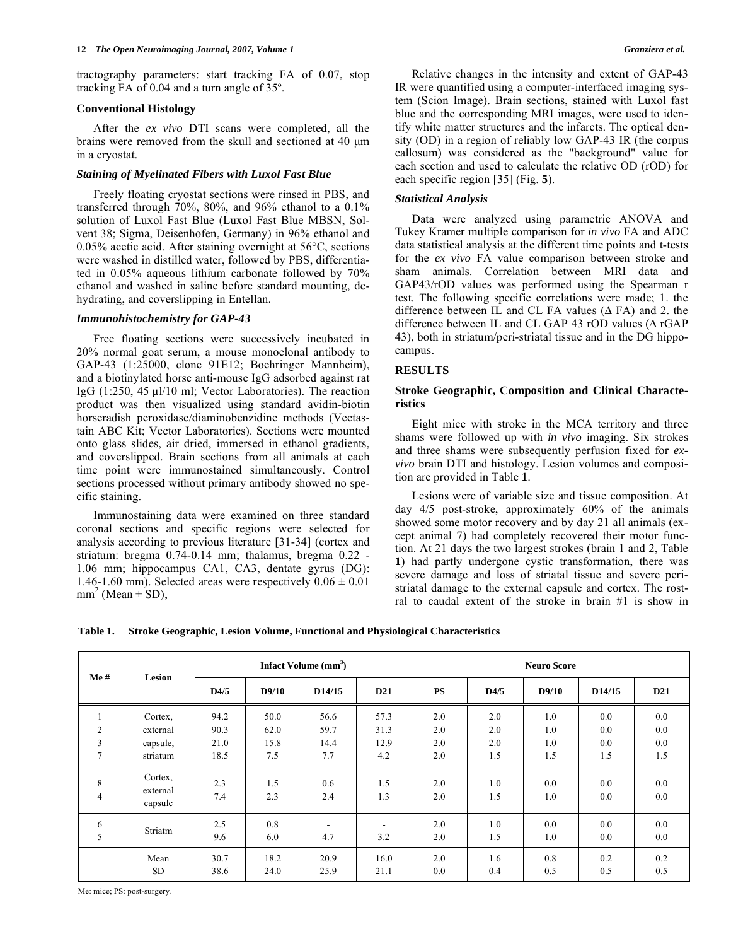tractography parameters: start tracking FA of 0.07, stop tracking FA of 0.04 and a turn angle of 35º.

## **Conventional Histology**

 After the *ex vivo* DTI scans were completed, all the brains were removed from the skull and sectioned at 40 μm in a cryostat.

## *Staining of Myelinated Fibers with Luxol Fast Blue*

 Freely floating cryostat sections were rinsed in PBS, and transferred through 70%, 80%, and 96% ethanol to a 0.1% solution of Luxol Fast Blue (Luxol Fast Blue MBSN, Solvent 38; Sigma, Deisenhofen, Germany) in 96% ethanol and 0.05% acetic acid. After staining overnight at 56°C, sections were washed in distilled water, followed by PBS, differentiated in 0.05% aqueous lithium carbonate followed by 70% ethanol and washed in saline before standard mounting, dehydrating, and coverslipping in Entellan.

### *Immunohistochemistry for GAP-43*

 Free floating sections were successively incubated in 20% normal goat serum, a mouse monoclonal antibody to GAP-43 (1:25000, clone 91E12; Boehringer Mannheim), and a biotinylated horse anti-mouse IgG adsorbed against rat IgG  $(1:250, 45 \mu)/10$  ml; Vector Laboratories). The reaction product was then visualized using standard avidin-biotin horseradish peroxidase/diaminobenzidine methods (Vectastain ABC Kit; Vector Laboratories). Sections were mounted onto glass slides, air dried, immersed in ethanol gradients, and coverslipped. Brain sections from all animals at each time point were immunostained simultaneously. Control sections processed without primary antibody showed no specific staining.

 Immunostaining data were examined on three standard coronal sections and specific regions were selected for analysis according to previous literature [31-34] (cortex and striatum: bregma 0.74-0.14 mm; thalamus, bregma 0.22 - 1.06 mm; hippocampus CA1, CA3, dentate gyrus (DG): 1.46-1.60 mm). Selected areas were respectively  $0.06 \pm 0.01$  $mm^2$  (Mean  $\pm$  SD),

 Relative changes in the intensity and extent of GAP-43 IR were quantified using a computer-interfaced imaging system (Scion Image). Brain sections, stained with Luxol fast blue and the corresponding MRI images, were used to identify white matter structures and the infarcts. The optical density (OD) in a region of reliably low GAP-43 IR (the corpus callosum) was considered as the "background" value for each section and used to calculate the relative OD (rOD) for each specific region [35] (Fig. **5**).

## *Statistical Analysis*

 Data were analyzed using parametric ANOVA and Tukey Kramer multiple comparison for *in vivo* FA and ADC data statistical analysis at the different time points and t-tests for the *ex vivo* FA value comparison between stroke and sham animals. Correlation between MRI data and GAP43/rOD values was performed using the Spearman r test. The following specific correlations were made; 1. the difference between IL and CL FA values  $(\Delta$  FA) and 2. the difference between IL and CL GAP 43 rOD values ( $\triangle$  rGAP 43), both in striatum/peri-striatal tissue and in the DG hippocampus.

# **RESULTS**

# **Stroke Geographic, Composition and Clinical Characteristics**

 Eight mice with stroke in the MCA territory and three shams were followed up with *in vivo* imaging. Six strokes and three shams were subsequently perfusion fixed for *exvivo* brain DTI and histology. Lesion volumes and composition are provided in Table **1**.

 Lesions were of variable size and tissue composition. At day 4/5 post-stroke, approximately 60% of the animals showed some motor recovery and by day 21 all animals (except animal 7) had completely recovered their motor function. At 21 days the two largest strokes (brain 1 and 2, Table **1**) had partly undergone cystic transformation, there was severe damage and loss of striatal tissue and severe peristriatal damage to the external capsule and cortex. The rostral to caudal extent of the stroke in brain #1 is show in

**Table 1. Stroke Geographic, Lesion Volume, Functional and Physiological Characteristics** 

| Me#                 | <b>Lesion</b>                  | Infact Volume $(mm3)$ |            |                          |                          | <b>Neuro Score</b> |            |            |            |                 |
|---------------------|--------------------------------|-----------------------|------------|--------------------------|--------------------------|--------------------|------------|------------|------------|-----------------|
|                     |                                | D4/5                  | D9/10      | D14/15                   | D <sub>21</sub>          | <b>PS</b>          | D4/5       | D9/10      | D14/15     | D <sub>21</sub> |
| $\mathbf{1}$        | Cortex,                        | 94.2                  | 50.0       | 56.6                     | 57.3                     | 2.0                | 2.0        | 1.0        | 0.0        | 0.0             |
| $\overline{2}$      | external                       | 90.3                  | 62.0       | 59.7                     | 31.3                     | 2.0                | 2.0        | 1.0        | 0.0        | 0.0             |
| 3                   | capsule,                       | 21.0                  | 15.8       | 14.4                     | 12.9                     | 2.0                | 2.0        | 1.0        | 0.0        | 0.0             |
| $\overline{7}$      | striatum                       | 18.5                  | 7.5        | 7.7                      | 4.2                      | 2.0                | 1.5        | 1.5        | 1.5        | 1.5             |
| 8<br>$\overline{4}$ | Cortex,<br>external<br>capsule | 2.3<br>7.4            | 1.5<br>2.3 | 0.6<br>2.4               | 1.5<br>1.3               | 2.0<br>2.0         | 1.0<br>1.5 | 0.0<br>1.0 | 0.0<br>0.0 | 0.0<br>0.0      |
| 6                   | Striatm                        | 2.5                   | 0.8        | $\overline{\phantom{a}}$ | $\overline{\phantom{a}}$ | 2.0                | 1.0        | 0.0        | 0.0        | 0.0             |
| 5                   |                                | 9.6                   | 6.0        | 4.7                      | 3.2                      | 2.0                | 1.5        | 1.0        | 0.0        | $0.0\,$         |
|                     | Mean                           | 30.7                  | 18.2       | 20.9                     | 16.0                     | 2.0                | 1.6        | 0.8        | 0.2        | 0.2             |
|                     | SD.                            | 38.6                  | 24.0       | 25.9                     | 21.1                     | 0.0                | 0.4        | 0.5        | 0.5        | 0.5             |

Me: mice; PS: post-surgery.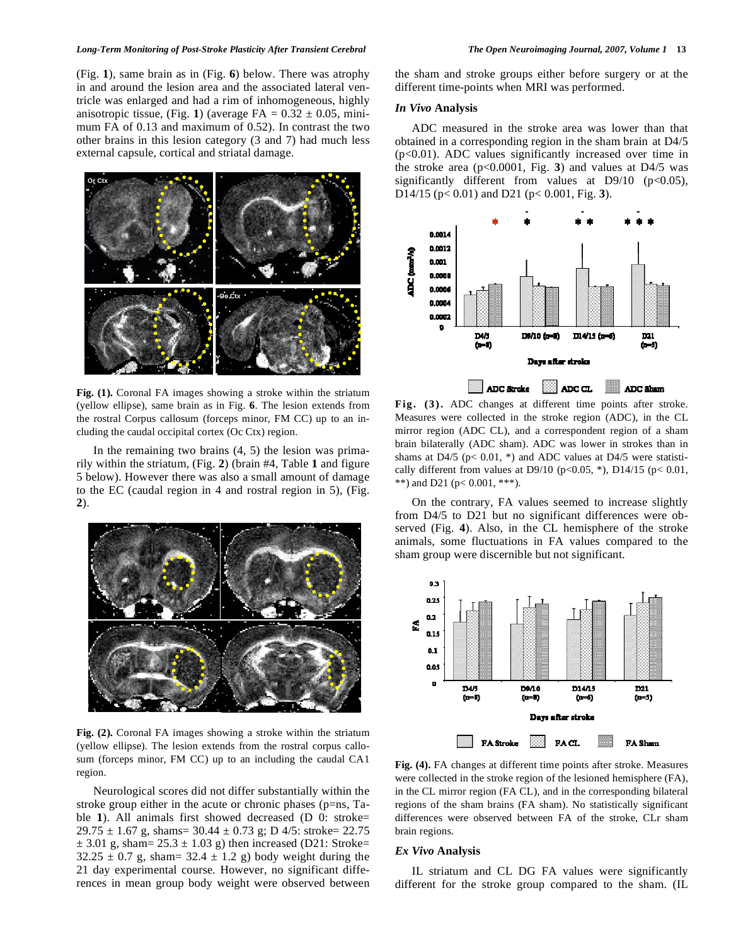(Fig. **1**), same brain as in (Fig. **6**) below. There was atrophy in and around the lesion area and the associated lateral ventricle was enlarged and had a rim of inhomogeneous, highly anisotropic tissue, (Fig. 1) (average  $FA = 0.32 \pm 0.05$ , minimum FA of 0.13 and maximum of 0.52). In contrast the two other brains in this lesion category (3 and 7) had much less external capsule, cortical and striatal damage.



**Fig. (1).** Coronal FA images showing a stroke within the striatum (yellow ellipse), same brain as in Fig. **6**. The lesion extends from the rostral Corpus callosum (forceps minor, FM CC) up to an including the caudal occipital cortex (Oc Ctx) region.

In the remaining two brains  $(4, 5)$  the lesion was primarily within the striatum, (Fig. **2**) (brain #4, Table **1** and figure 5 below). However there was also a small amount of damage to the EC (caudal region in 4 and rostral region in 5), (Fig. **2**).



**Fig. (2).** Coronal FA images showing a stroke within the striatum (yellow ellipse). The lesion extends from the rostral corpus callosum (forceps minor, FM CC) up to an including the caudal CA1 region.

 Neurological scores did not differ substantially within the stroke group either in the acute or chronic phases (p=ns, Table **1**). All animals first showed decreased (D 0: stroke=  $29.75 \pm 1.67$  g, shams=  $30.44 \pm 0.73$  g; D 4/5: stroke= 22.75  $\pm$  3.01 g, sham= 25.3  $\pm$  1.03 g) then increased (D21: Stroke=  $32.25 \pm 0.7$  g, sham=  $32.4 \pm 1.2$  g) body weight during the 21 day experimental course. However, no significant differences in mean group body weight were observed between the sham and stroke groups either before surgery or at the different time-points when MRI was performed.

#### *In Vivo* **Analysis**

 ADC measured in the stroke area was lower than that obtained in a corresponding region in the sham brain at D4/5 (p<0.01). ADC values significantly increased over time in the stroke area  $(p<0.0001$ , Fig. 3) and values at D4/5 was significantly different from values at  $D9/10$  ( $p<0.05$ ), D14/15 (p< 0.01) and D21 (p< 0.001, Fig. **3**).



Fig. (3). ADC changes at different time points after stroke. Measures were collected in the stroke region (ADC), in the CL mirror region (ADC CL), and a correspondent region of a sham brain bilaterally (ADC sham). ADC was lower in strokes than in shams at D4/5 ( $p < 0.01$ , \*) and ADC values at D4/5 were statistically different from values at D9/10 (p<0.05, \*), D14/15 (p< 0.01, \*\*) and D21 ( $p < 0.001$ , \*\*\*).

 On the contrary, FA values seemed to increase slightly from D4/5 to D21 but no significant differences were observed (Fig. **4**). Also, in the CL hemisphere of the stroke animals, some fluctuations in FA values compared to the sham group were discernible but not significant.



**Fig. (4).** FA changes at different time points after stroke. Measures were collected in the stroke region of the lesioned hemisphere (FA), in the CL mirror region (FA CL), and in the corresponding bilateral regions of the sham brains (FA sham). No statistically significant differences were observed between FA of the stroke, CLr sham brain regions.

#### *Ex Vivo* **Analysis**

 IL striatum and CL DG FA values were significantly different for the stroke group compared to the sham. (IL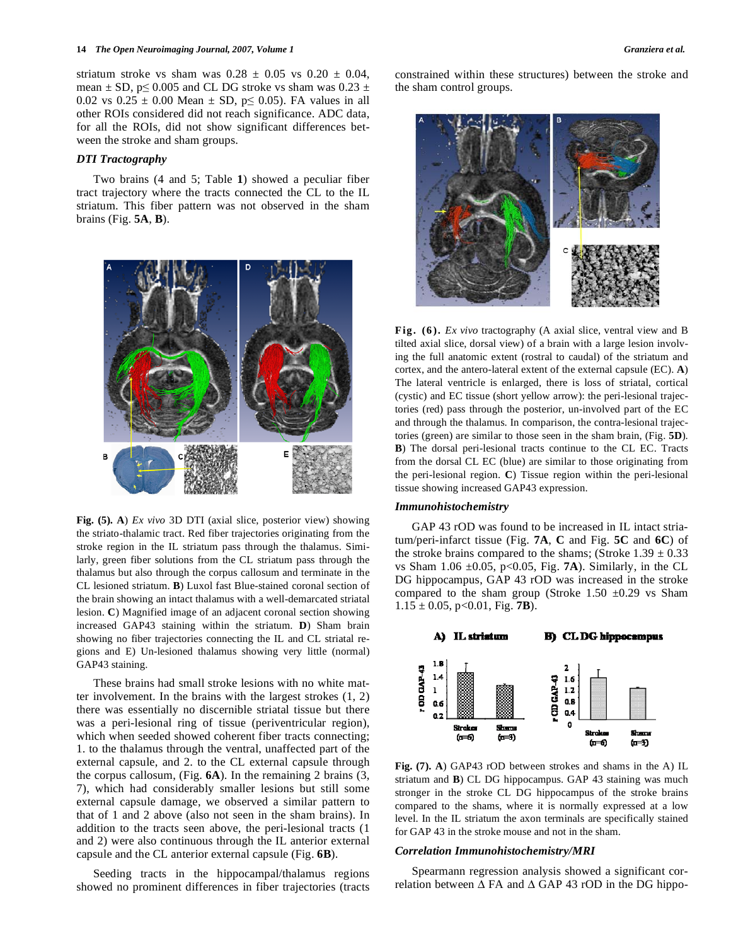striatum stroke vs sham was  $0.28 \pm 0.05$  vs  $0.20 \pm 0.04$ , mean  $\pm$  SD, p $\leq$  0.005 and CL DG stroke vs sham was 0.23  $\pm$ 0.02 vs  $0.25 \pm 0.00$  Mean  $\pm$  SD, p q 0.05). FA values in all other ROIs considered did not reach significance. ADC data, for all the ROIs, did not show significant differences between the stroke and sham groups.

## *DTI Tractography*

 Two brains (4 and 5; Table **1**) showed a peculiar fiber tract trajectory where the tracts connected the CL to the IL striatum. This fiber pattern was not observed in the sham brains (Fig. **5A**, **B**).



**Fig. (5). A**) *Ex vivo* 3D DTI (axial slice, posterior view) showing the striato-thalamic tract. Red fiber trajectories originating from the stroke region in the IL striatum pass through the thalamus. Similarly, green fiber solutions from the CL striatum pass through the thalamus but also through the corpus callosum and terminate in the CL lesioned striatum. **B**) Luxol fast Blue-stained coronal section of the brain showing an intact thalamus with a well-demarcated striatal lesion. **C**) Magnified image of an adjacent coronal section showing increased GAP43 staining within the striatum. **D**) Sham brain showing no fiber trajectories connecting the IL and CL striatal regions and E) Un-lesioned thalamus showing very little (normal) GAP43 staining.

 These brains had small stroke lesions with no white matter involvement. In the brains with the largest strokes (1, 2) there was essentially no discernible striatal tissue but there was a peri-lesional ring of tissue (periventricular region), which when seeded showed coherent fiber tracts connecting; 1. to the thalamus through the ventral, unaffected part of the external capsule, and 2. to the CL external capsule through the corpus callosum, (Fig. **6A**). In the remaining 2 brains (3, 7), which had considerably smaller lesions but still some external capsule damage, we observed a similar pattern to that of 1 and 2 above (also not seen in the sham brains). In addition to the tracts seen above, the peri-lesional tracts (1 and 2) were also continuous through the IL anterior external capsule and the CL anterior external capsule (Fig. **6B**).

 Seeding tracts in the hippocampal/thalamus regions showed no prominent differences in fiber trajectories (tracts constrained within these structures) between the stroke and the sham control groups.



**Fig. (6).** *Ex vivo* tractography (A axial slice, ventral view and B tilted axial slice, dorsal view) of a brain with a large lesion involving the full anatomic extent (rostral to caudal) of the striatum and cortex, and the antero-lateral extent of the external capsule (EC). **A**) The lateral ventricle is enlarged, there is loss of striatal, cortical (cystic) and EC tissue (short yellow arrow): the peri-lesional trajectories (red) pass through the posterior, un-involved part of the EC and through the thalamus. In comparison, the contra-lesional trajectories (green) are similar to those seen in the sham brain, (Fig. **5D**). **B**) The dorsal peri-lesional tracts continue to the CL EC. Tracts from the dorsal CL EC (blue) are similar to those originating from the peri-lesional region. **C**) Tissue region within the peri-lesional tissue showing increased GAP43 expression.

#### *Immunohistochemistry*

 GAP 43 rOD was found to be increased in IL intact striatum/peri-infarct tissue (Fig. **7A**, **C** and Fig. **5C** and **6C**) of the stroke brains compared to the shams; (Stroke  $1.39 \pm 0.33$ ) vs Sham  $1.06 \pm 0.05$ , p<0.05, Fig. **7A**). Similarly, in the CL DG hippocampus, GAP 43 rOD was increased in the stroke compared to the sham group (Stroke 1.50  $\pm$ 0.29 vs Sham  $1.15 \pm 0.05$ , p<0.01, Fig. **7B**).



**Fig. (7). A**) GAP43 rOD between strokes and shams in the A) IL striatum and **B**) CL DG hippocampus. GAP 43 staining was much stronger in the stroke CL DG hippocampus of the stroke brains compared to the shams, where it is normally expressed at a low level. In the IL striatum the axon terminals are specifically stained for GAP 43 in the stroke mouse and not in the sham.

#### *Correlation Immunohistochemistry/MRI*

 Spearmann regression analysis showed a significant correlation between  $\Delta$  FA and  $\Delta$  GAP 43 rOD in the DG hippo-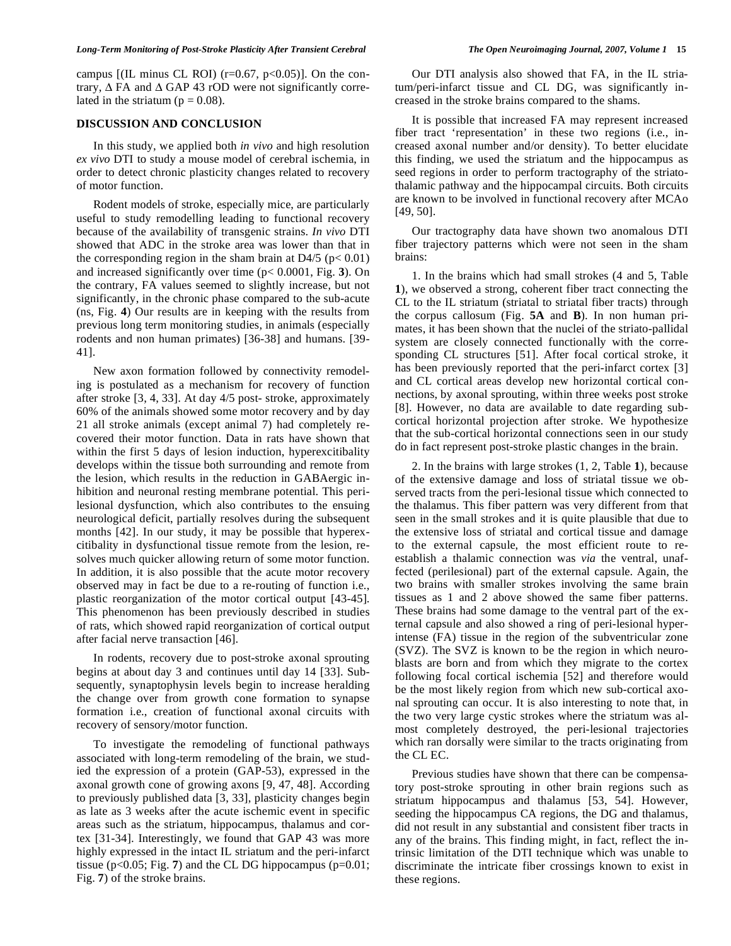#### *Long-Term Monitoring of Post-Stroke Plasticity After Transient Cerebral The Open Neuroimaging Journal, 2007, Volume 1* **15**

campus  $[(IL minus CL ROI) (r=0.67, p<0.05)].$  On the contrary,  $\Delta$  FA and  $\Delta$  GAP 43 rOD were not significantly correlated in the striatum ( $p = 0.08$ ).

### **DISCUSSION AND CONCLUSION**

 In this study, we applied both *in vivo* and high resolution *ex vivo* DTI to study a mouse model of cerebral ischemia, in order to detect chronic plasticity changes related to recovery of motor function.

 Rodent models of stroke, especially mice, are particularly useful to study remodelling leading to functional recovery because of the availability of transgenic strains. *In vivo* DTI showed that ADC in the stroke area was lower than that in the corresponding region in the sham brain at  $D4/5$  ( $p < 0.01$ ) and increased significantly over time (p< 0.0001, Fig. **3**). On the contrary, FA values seemed to slightly increase, but not significantly, in the chronic phase compared to the sub-acute (ns, Fig. **4**) Our results are in keeping with the results from previous long term monitoring studies, in animals (especially rodents and non human primates) [36-38] and humans. [39- 41].

 New axon formation followed by connectivity remodeling is postulated as a mechanism for recovery of function after stroke [3, 4, 33]. At day 4/5 post- stroke, approximately 60% of the animals showed some motor recovery and by day 21 all stroke animals (except animal 7) had completely recovered their motor function. Data in rats have shown that within the first 5 days of lesion induction, hyperexcitibality develops within the tissue both surrounding and remote from the lesion, which results in the reduction in GABAergic inhibition and neuronal resting membrane potential. This perilesional dysfunction, which also contributes to the ensuing neurological deficit, partially resolves during the subsequent months [42]. In our study, it may be possible that hyperexcitibality in dysfunctional tissue remote from the lesion, resolves much quicker allowing return of some motor function. In addition, it is also possible that the acute motor recovery observed may in fact be due to a re-routing of function i.e., plastic reorganization of the motor cortical output [43-45]. This phenomenon has been previously described in studies of rats, which showed rapid reorganization of cortical output after facial nerve transaction [46].

 In rodents, recovery due to post-stroke axonal sprouting begins at about day 3 and continues until day 14 [33]. Subsequently, synaptophysin levels begin to increase heralding the change over from growth cone formation to synapse formation i.e., creation of functional axonal circuits with recovery of sensory/motor function.

 To investigate the remodeling of functional pathways associated with long-term remodeling of the brain, we studied the expression of a protein (GAP-53), expressed in the axonal growth cone of growing axons [9, 47, 48]. According to previously published data [3, 33], plasticity changes begin as late as 3 weeks after the acute ischemic event in specific areas such as the striatum, hippocampus, thalamus and cortex [31-34]. Interestingly, we found that GAP 43 was more highly expressed in the intact IL striatum and the peri-infarct tissue ( $p<0.05$ ; Fig. 7) and the CL DG hippocampus ( $p=0.01$ ; Fig. **7**) of the stroke brains.

 Our DTI analysis also showed that FA, in the IL striatum/peri-infarct tissue and CL DG, was significantly increased in the stroke brains compared to the shams.

 It is possible that increased FA may represent increased fiber tract 'representation' in these two regions (i.e., increased axonal number and/or density). To better elucidate this finding, we used the striatum and the hippocampus as seed regions in order to perform tractography of the striatothalamic pathway and the hippocampal circuits. Both circuits are known to be involved in functional recovery after MCAo [49, 50].

 Our tractography data have shown two anomalous DTI fiber trajectory patterns which were not seen in the sham brains:

 1. In the brains which had small strokes (4 and 5, Table **1**), we observed a strong, coherent fiber tract connecting the CL to the IL striatum (striatal to striatal fiber tracts) through the corpus callosum (Fig. **5A** and **B**). In non human primates, it has been shown that the nuclei of the striato-pallidal system are closely connected functionally with the corresponding CL structures [51]. After focal cortical stroke, it has been previously reported that the peri-infarct cortex [3] and CL cortical areas develop new horizontal cortical connections, by axonal sprouting, within three weeks post stroke [8]. However, no data are available to date regarding subcortical horizontal projection after stroke. We hypothesize that the sub-cortical horizontal connections seen in our study do in fact represent post-stroke plastic changes in the brain.

 2. In the brains with large strokes (1, 2, Table **1**), because of the extensive damage and loss of striatal tissue we observed tracts from the peri-lesional tissue which connected to the thalamus. This fiber pattern was very different from that seen in the small strokes and it is quite plausible that due to the extensive loss of striatal and cortical tissue and damage to the external capsule, the most efficient route to reestablish a thalamic connection was *via* the ventral, unaffected (perilesional) part of the external capsule. Again, the two brains with smaller strokes involving the same brain tissues as 1 and 2 above showed the same fiber patterns. These brains had some damage to the ventral part of the external capsule and also showed a ring of peri-lesional hyperintense (FA) tissue in the region of the subventricular zone (SVZ). The SVZ is known to be the region in which neuroblasts are born and from which they migrate to the cortex following focal cortical ischemia [52] and therefore would be the most likely region from which new sub-cortical axonal sprouting can occur. It is also interesting to note that, in the two very large cystic strokes where the striatum was almost completely destroyed, the peri-lesional trajectories which ran dorsally were similar to the tracts originating from the CL EC.

 Previous studies have shown that there can be compensatory post-stroke sprouting in other brain regions such as striatum hippocampus and thalamus [53, 54]. However, seeding the hippocampus CA regions, the DG and thalamus, did not result in any substantial and consistent fiber tracts in any of the brains. This finding might, in fact, reflect the intrinsic limitation of the DTI technique which was unable to discriminate the intricate fiber crossings known to exist in these regions.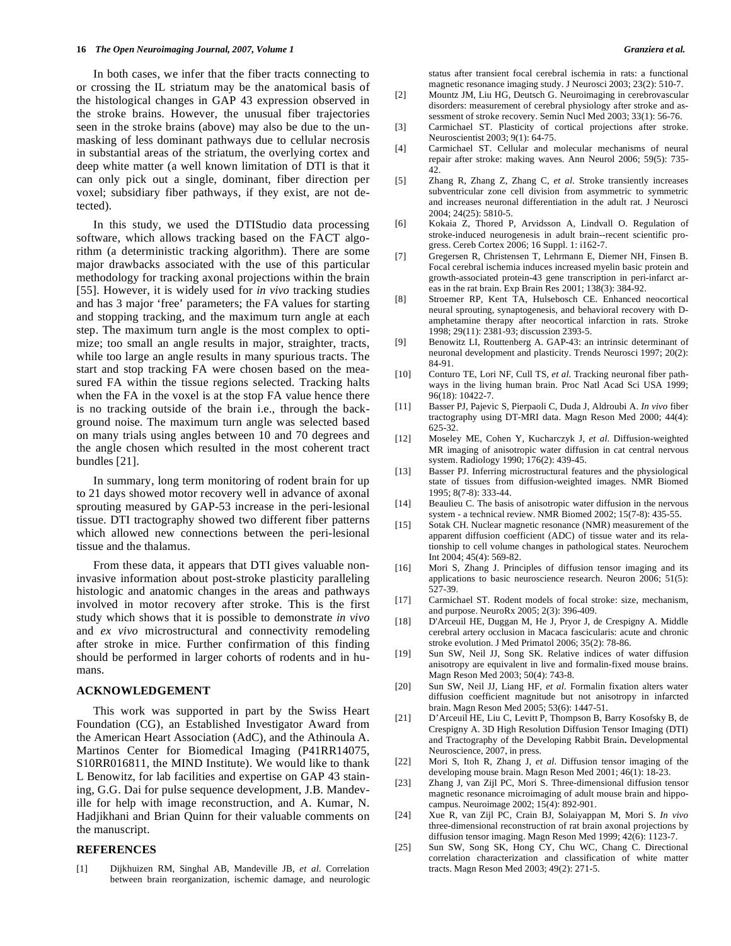In both cases, we infer that the fiber tracts connecting to or crossing the IL striatum may be the anatomical basis of the histological changes in GAP 43 expression observed in the stroke brains. However, the unusual fiber trajectories seen in the stroke brains (above) may also be due to the unmasking of less dominant pathways due to cellular necrosis in substantial areas of the striatum, the overlying cortex and deep white matter (a well known limitation of DTI is that it can only pick out a single, dominant, fiber direction per voxel; subsidiary fiber pathways, if they exist, are not detected).

 In this study, we used the DTIStudio data processing software, which allows tracking based on the FACT algorithm (a deterministic tracking algorithm). There are some major drawbacks associated with the use of this particular methodology for tracking axonal projections within the brain [55]. However, it is widely used for *in vivo* tracking studies and has 3 major 'free' parameters; the FA values for starting and stopping tracking, and the maximum turn angle at each step. The maximum turn angle is the most complex to optimize; too small an angle results in major, straighter, tracts, while too large an angle results in many spurious tracts. The start and stop tracking FA were chosen based on the measured FA within the tissue regions selected. Tracking halts when the FA in the voxel is at the stop FA value hence there is no tracking outside of the brain i.e., through the background noise. The maximum turn angle was selected based on many trials using angles between 10 and 70 degrees and the angle chosen which resulted in the most coherent tract bundles [21].

 In summary, long term monitoring of rodent brain for up to 21 days showed motor recovery well in advance of axonal sprouting measured by GAP-53 increase in the peri-lesional tissue. DTI tractography showed two different fiber patterns which allowed new connections between the peri-lesional tissue and the thalamus.

 From these data, it appears that DTI gives valuable noninvasive information about post-stroke plasticity paralleling histologic and anatomic changes in the areas and pathways involved in motor recovery after stroke. This is the first study which shows that it is possible to demonstrate *in vivo* and *ex vivo* microstructural and connectivity remodeling after stroke in mice. Further confirmation of this finding should be performed in larger cohorts of rodents and in humans.

#### **ACKNOWLEDGEMENT**

 This work was supported in part by the Swiss Heart Foundation (CG), an Established Investigator Award from the American Heart Association (AdC), and the Athinoula A. Martinos Center for Biomedical Imaging (P41RR14075, S10RR016811, the MIND Institute). We would like to thank L Benowitz, for lab facilities and expertise on GAP 43 staining, G.G. Dai for pulse sequence development, J.B. Mandeville for help with image reconstruction, and A. Kumar, N. Hadjikhani and Brian Quinn for their valuable comments on the manuscript.

### **REFERENCES**

[1] Dijkhuizen RM, Singhal AB, Mandeville JB, *et al*. Correlation between brain reorganization, ischemic damage, and neurologic status after transient focal cerebral ischemia in rats: a functional magnetic resonance imaging study. J Neurosci 2003; 23(2): 510-7.

- [2] Mountz JM, Liu HG, Deutsch G. Neuroimaging in cerebrovascular disorders: measurement of cerebral physiology after stroke and assessment of stroke recovery. Semin Nucl Med 2003; 33(1): 56-76.
- [3] Carmichael ST. Plasticity of cortical projections after stroke. Neuroscientist 2003; 9(1): 64-75.
- [4] Carmichael ST. Cellular and molecular mechanisms of neural repair after stroke: making waves. Ann Neurol 2006; 59(5): 735- 42.
- [5] Zhang R, Zhang Z, Zhang C, *et al*. Stroke transiently increases subventricular zone cell division from asymmetric to symmetric and increases neuronal differentiation in the adult rat. J Neurosci 2004; 24(25): 5810-5.
- [6] Kokaia Z, Thored P, Arvidsson A, Lindvall O. Regulation of stroke-induced neurogenesis in adult brain--recent scientific progress. Cereb Cortex 2006; 16 Suppl. 1: i162-7.
- [7] Gregersen R, Christensen T, Lehrmann E, Diemer NH, Finsen B. Focal cerebral ischemia induces increased myelin basic protein and growth-associated protein-43 gene transcription in peri-infarct areas in the rat brain. Exp Brain Res 2001; 138(3): 384-92.
- [8] Stroemer RP, Kent TA, Hulsebosch CE. Enhanced neocortical neural sprouting, synaptogenesis, and behavioral recovery with Damphetamine therapy after neocortical infarction in rats. Stroke 1998; 29(11): 2381-93; discussion 2393-5.
- [9] Benowitz LI, Routtenberg A. GAP-43: an intrinsic determinant of neuronal development and plasticity. Trends Neurosci 1997; 20(2): 84-91.
- [10] Conturo TE, Lori NF, Cull TS, *et al*. Tracking neuronal fiber pathways in the living human brain. Proc Natl Acad Sci USA 1999; 96(18): 10422-7.
- [11] Basser PJ, Pajevic S, Pierpaoli C, Duda J, Aldroubi A. *In vivo* fiber tractography using DT-MRI data. Magn Reson Med 2000; 44(4): 625-32.
- [12] Moseley ME, Cohen Y, Kucharczyk J, *et al*. Diffusion-weighted MR imaging of anisotropic water diffusion in cat central nervous system. Radiology 1990; 176(2): 439-45.
- [13] Basser PJ. Inferring microstructural features and the physiological state of tissues from diffusion-weighted images. NMR Biomed 1995; 8(7-8): 333-44.
- [14] Beaulieu C. The basis of anisotropic water diffusion in the nervous system - a technical review. NMR Biomed 2002; 15(7-8): 435-55.
- [15] Sotak CH. Nuclear magnetic resonance (NMR) measurement of the apparent diffusion coefficient (ADC) of tissue water and its relationship to cell volume changes in pathological states. Neurochem Int 2004; 45(4): 569-82.
- [16] Mori S, Zhang J. Principles of diffusion tensor imaging and its applications to basic neuroscience research. Neuron 2006; 51(5): 527-39.
- [17] Carmichael ST. Rodent models of focal stroke: size, mechanism, and purpose. NeuroRx 2005; 2(3): 396-409.
- [18] D'Arceuil HE, Duggan M, He J, Pryor J, de Crespigny A. Middle cerebral artery occlusion in Macaca fascicularis: acute and chronic stroke evolution. J Med Primatol 2006; 35(2): 78-86.
- [19] Sun SW, Neil JJ, Song SK. Relative indices of water diffusion anisotropy are equivalent in live and formalin-fixed mouse brains. Magn Reson Med 2003; 50(4): 743-8.
- [20] Sun SW, Neil JJ, Liang HF, *et al*. Formalin fixation alters water diffusion coefficient magnitude but not anisotropy in infarcted brain. Magn Reson Med 2005; 53(6): 1447-51.
- [21] D'Arceuil HE, Liu C, Levitt P, Thompson B, Barry Kosofsky B, de Crespigny A. 3D High Resolution Diffusion Tensor Imaging (DTI) and Tractography of the Developing Rabbit Brain**.** Developmental Neuroscience, 2007, in press.
- [22] Mori S, Itoh R, Zhang J, *et al*. Diffusion tensor imaging of the developing mouse brain. Magn Reson Med 2001; 46(1): 18-23.
- [23] Zhang J, van Zijl PC, Mori S. Three-dimensional diffusion tensor magnetic resonance microimaging of adult mouse brain and hippocampus. Neuroimage 2002; 15(4): 892-901.
- [24] Xue R, van Zijl PC, Crain BJ, Solaiyappan M, Mori S. *In vivo* three-dimensional reconstruction of rat brain axonal projections by diffusion tensor imaging. Magn Reson Med 1999; 42(6): 1123-7.
- [25] Sun SW, Song SK, Hong CY, Chu WC, Chang C. Directional correlation characterization and classification of white matter tracts. Magn Reson Med 2003; 49(2): 271-5.